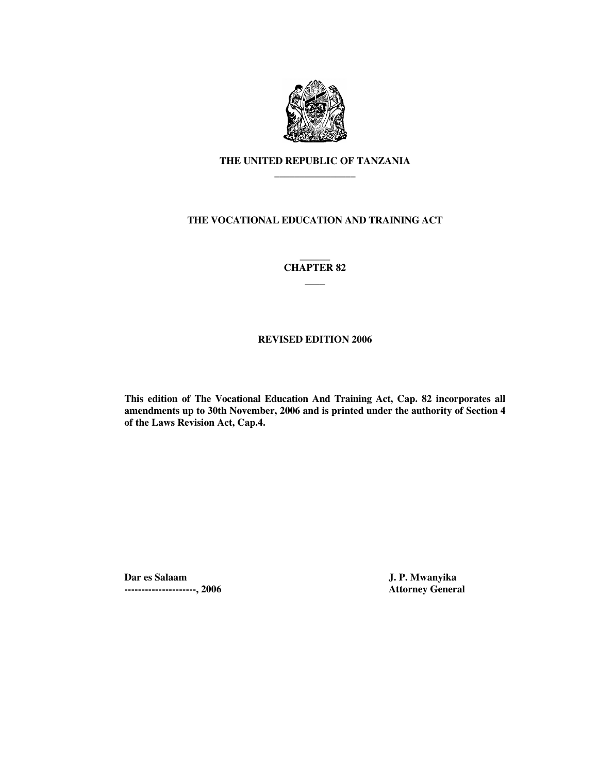

# **THE UNITED REPUBLIC OF TANZANIA \_\_\_\_\_\_\_\_\_\_\_\_\_\_\_\_**

# **THE VOCATIONAL EDUCATION AND TRAINING ACT**

### **\_\_\_\_\_\_ CHAPTER 82 \_\_\_\_**

# **REVISED EDITION 2006**

**This edition of The Vocational Education And Training Act, Cap. 82 incorporates all amendments up to 30th November, 2006 and is printed under the authority of Section 4 of the Laws Revision Act, Cap.4.** 

**Dar es Salaam J. P. Mwanyika ---------------------, 2006 Attorney General**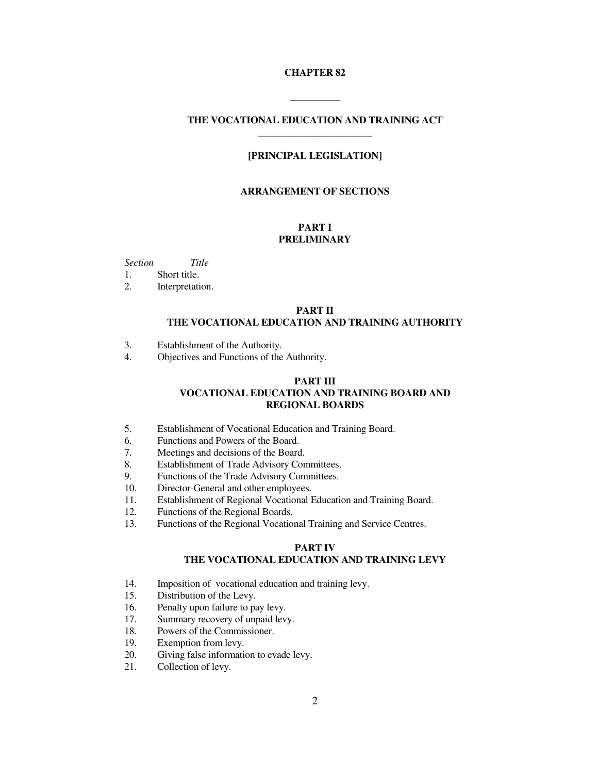#### **CHAPTER 82**

# **THE VOCATIONAL EDUCATION AND TRAINING ACT \_\_\_\_\_\_\_\_\_\_\_\_\_\_\_\_\_\_\_\_\_\_\_**

**\_\_\_\_\_\_\_\_\_\_** 

## **[PRINCIPAL LEGISLATION]**

#### **ARRANGEMENT OF SECTIONS**

### **PART I PRELIMINARY**

*Section Title* 

1. Short title.

2. Interpretation.

#### **PART II THE VOCATIONAL EDUCATION AND TRAINING AUTHORITY**

- 3. Establishment of the Authority.
- 4. Objectives and Functions of the Authority.

### **PART III VOCATIONAL EDUCATION AND TRAINING BOARD AND REGIONAL BOARDS**

- 5. Establishment of Vocational Education and Training Board.
- 6. Functions and Powers of the Board.
- 7. Meetings and decisions of the Board.
- 8. Establishment of Trade Advisory Committees.
- 9. Functions of the Trade Advisory Committees.
- 10. Director-General and other employees.
- 11. Establishment of Regional Vocational Education and Training Board.
- 12. Functions of the Regional Boards.
- 13. Functions of the Regional Vocational Training and Service Centres.

## **PART IV THE VOCATIONAL EDUCATION AND TRAINING LEVY**

- 14. Imposition of vocational education and training levy.
- 15. Distribution of the Levy.
- 16. Penalty upon failure to pay levy.
- 17. Summary recovery of unpaid levy.
- 18. Powers of the Commissioner.
- 19. Exemption from levy.<br>20. Giving false information
- Giving false information to evade levy.
- 21. Collection of levy.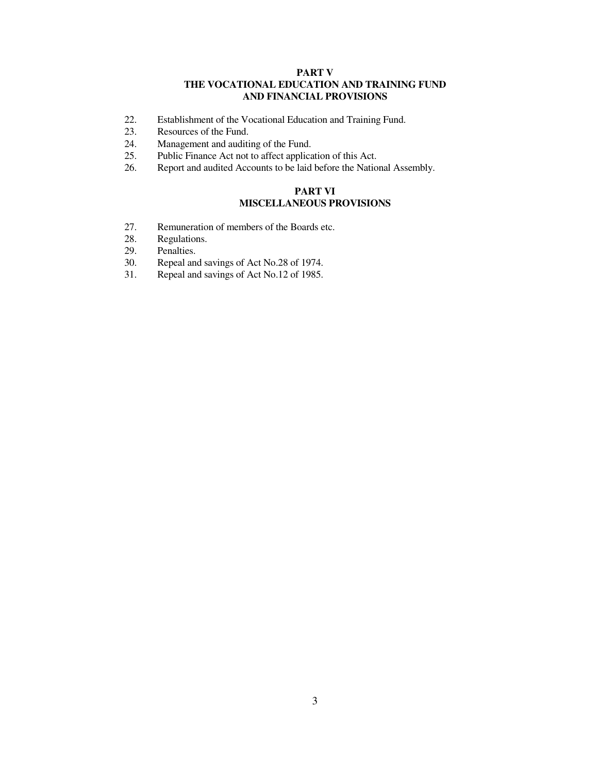### **PART V THE VOCATIONAL EDUCATION AND TRAINING FUND AND FINANCIAL PROVISIONS**

- 22. Establishment of the Vocational Education and Training Fund.
- 23. Resources of the Fund.
- 24. Management and auditing of the Fund.
- 25. Public Finance Act not to affect application of this Act.
- 26. Report and audited Accounts to be laid before the National Assembly.

## **PART VI MISCELLANEOUS PROVISIONS**

- 27. Remuneration of members of the Boards etc.
- 28. Regulations.
- 29. Penalties.<br>30. Repeal and
- 30. Repeal and savings of Act No.28 of 1974.<br>31. Repeal and savings of Act No.12 of 1985.
- Repeal and savings of Act No.12 of 1985.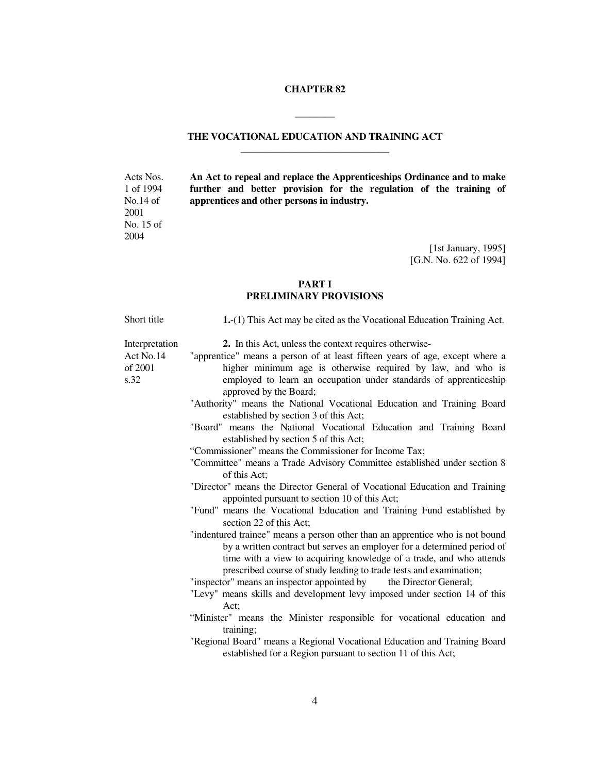#### **CHAPTER 82**

**\_\_\_\_\_\_\_\_** 

## **THE VOCATIONAL EDUCATION AND TRAINING ACT \_\_\_\_\_\_\_\_\_\_\_\_\_\_\_\_\_\_\_\_\_\_\_\_\_\_\_\_\_\_**

**An Act to repeal and replace the Apprenticeships Ordinance and to make further and better provision for the regulation of the training of apprentices and other persons in industry.** 

> [1st January, 1995] [G.N. No. 622 of 1994]

### **PART I PRELIMINARY PROVISIONS**

Short title **1.**-(1) This Act may be cited as the Vocational Education Training Act. Interpretation 2. In this Act, unless the context requires otherwise-Act No.14 of 2001 s.32 "apprentice" means a person of at least fifteen years of age, except where a higher minimum age is otherwise required by law, and who is employed to learn an occupation under standards of apprenticeship approved by the Board; "Authority" means the National Vocational Education and Training Board established by section 3 of this Act; "Board" means the National Vocational Education and Training Board established by section 5 of this Act; "Commissioner" means the Commissioner for Income Tax; "Committee" means a Trade Advisory Committee established under section 8 of this Act; "Director" means the Director General of Vocational Education and Training appointed pursuant to section 10 of this Act; "Fund" means the Vocational Education and Training Fund established by section 22 of this Act; "indentured trainee" means a person other than an apprentice who is not bound by a written contract but serves an employer for a determined period of time with a view to acquiring knowledge of a trade, and who attends prescribed course of study leading to trade tests and examination; "inspector" means an inspector appointed by the Director General; "Levy" means skills and development levy imposed under section 14 of this Act; "Minister" means the Minister responsible for vocational education and training; "Regional Board" means a Regional Vocational Education and Training Board established for a Region pursuant to section 11 of this Act;

Acts Nos. 1 of 1994 No.14 of 2001 No. 15 of 2004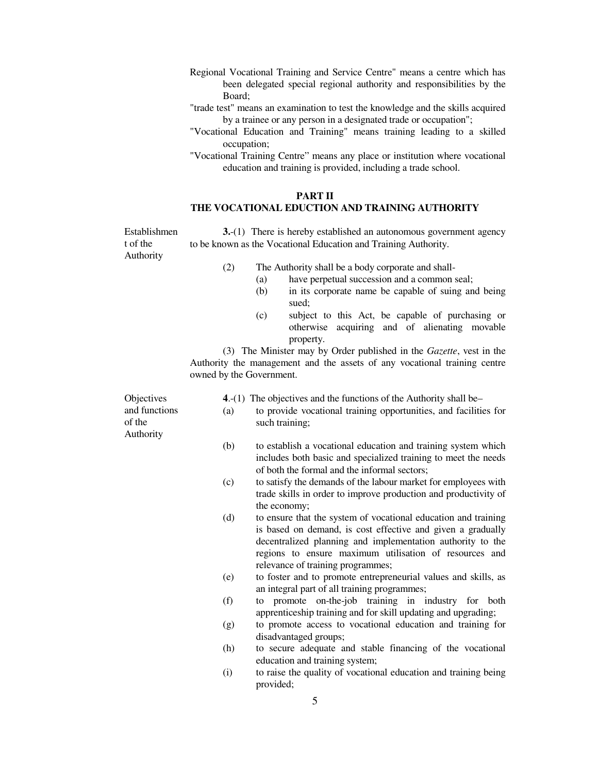- Regional Vocational Training and Service Centre" means a centre which has been delegated special regional authority and responsibilities by the Board;
- "trade test" means an examination to test the knowledge and the skills acquired by a trainee or any person in a designated trade or occupation";
- "Vocational Education and Training" means training leading to a skilled occupation;
- "Vocational Training Centre" means any place or institution where vocational education and training is provided, including a trade school.

#### **PART II THE VOCATIONAL EDUCTION AND TRAINING AUTHORITY**

Establishmen t of the Authority **3.**-(1) There is hereby established an autonomous government agency to be known as the Vocational Education and Training Authority.

(2) The Authority shall be a body corporate and shall-

- (a) have perpetual succession and a common seal;
- (b) in its corporate name be capable of suing and being sued;
- (c) subject to this Act, be capable of purchasing or otherwise acquiring and of alienating movable property.

 (3) The Minister may by Order published in the *Gazette*, vest in the Authority the management and the assets of any vocational training centre owned by the Government.

| Objectives<br>and functions<br>of the | (a) | 4.-(1) The objectives and the functions of the Authority shall be-<br>to provide vocational training opportunities, and facilities for<br>such training;                                                                                                                                   |
|---------------------------------------|-----|--------------------------------------------------------------------------------------------------------------------------------------------------------------------------------------------------------------------------------------------------------------------------------------------|
| Authority                             | (b) | to establish a vocational education and training system which<br>includes both basic and specialized training to meet the needs<br>of both the formal and the informal sectors;                                                                                                            |
|                                       | (c) | to satisfy the demands of the labour market for employees with<br>trade skills in order to improve production and productivity of<br>the economy;                                                                                                                                          |
|                                       | (d) | to ensure that the system of vocational education and training<br>is based on demand, is cost effective and given a gradually<br>decentralized planning and implementation authority to the<br>regions to ensure maximum utilisation of resources and<br>relevance of training programmes; |
|                                       | (e) | to foster and to promote entrepreneurial values and skills, as<br>an integral part of all training programmes;                                                                                                                                                                             |
|                                       | (f) | to promote on-the-job training in industry for both<br>apprenticeship training and for skill updating and upgrading;                                                                                                                                                                       |
|                                       | (g) | to promote access to vocational education and training for<br>disadvantaged groups;                                                                                                                                                                                                        |
|                                       | (h) | to secure adequate and stable financing of the vocational<br>education and training system;                                                                                                                                                                                                |
|                                       | (i) | to raise the quality of vocational education and training being<br>provided;                                                                                                                                                                                                               |

5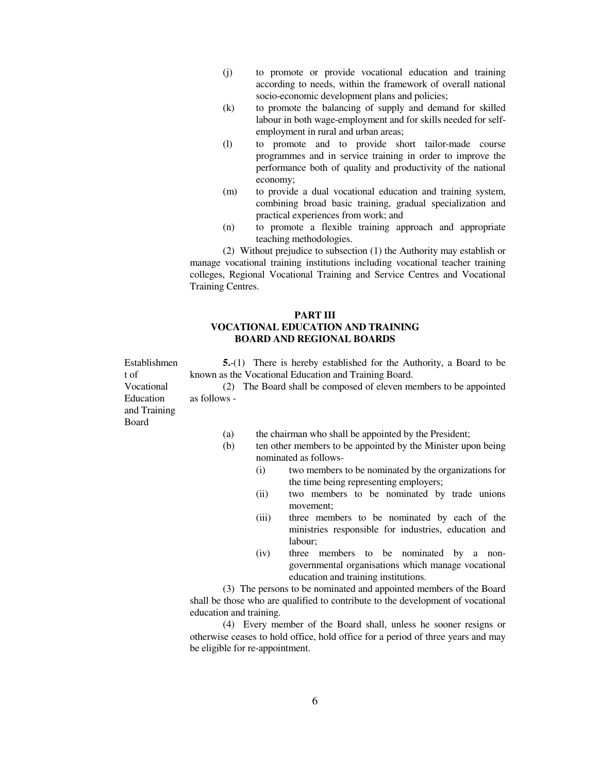- (j) to promote or provide vocational education and training according to needs, within the framework of overall national socio-economic development plans and policies;
- (k) to promote the balancing of supply and demand for skilled labour in both wage-employment and for skills needed for selfemployment in rural and urban areas;
- (l) to promote and to provide short tailor-made course programmes and in service training in order to improve the performance both of quality and productivity of the national economy;
- (m) to provide a dual vocational education and training system, combining broad basic training, gradual specialization and practical experiences from work; and
- (n) to promote a flexible training approach and appropriate teaching methodologies.

 (2) Without prejudice to subsection (1) the Authority may establish or manage vocational training institutions including vocational teacher training colleges, Regional Vocational Training and Service Centres and Vocational Training Centres.

### **PART III VOCATIONAL EDUCATION AND TRAINING BOARD AND REGIONAL BOARDS**

**5.**-(1) There is hereby established for the Authority, a Board to be known as the Vocational Education and Training Board.

 (2) The Board shall be composed of eleven members to be appointed as follows -

Vocational Education and Training Board

Establishmen

t of

- (a) the chairman who shall be appointed by the President;
- (b) ten other members to be appointed by the Minister upon being nominated as follows-
	- (i) two members to be nominated by the organizations for the time being representing employers;
	- (ii) two members to be nominated by trade unions movement;
	- (iii) three members to be nominated by each of the ministries responsible for industries, education and labour;
	- (iv) three members to be nominated by a nongovernmental organisations which manage vocational education and training institutions.

 (3) The persons to be nominated and appointed members of the Board shall be those who are qualified to contribute to the development of vocational education and training.

 (4) Every member of the Board shall, unless he sooner resigns or otherwise ceases to hold office, hold office for a period of three years and may be eligible for re-appointment.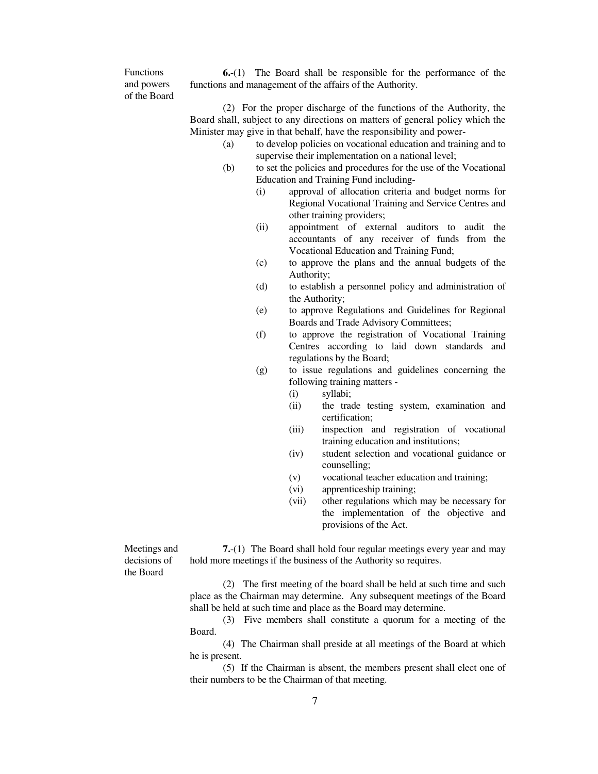Functions and powers of the Board

**6.**-(1) The Board shall be responsible for the performance of the functions and management of the affairs of the Authority.

 (2) For the proper discharge of the functions of the Authority, the Board shall, subject to any directions on matters of general policy which the Minister may give in that behalf, have the responsibility and power-

- (a) to develop policies on vocational education and training and to supervise their implementation on a national level;
- (b) to set the policies and procedures for the use of the Vocational Education and Training Fund including-
	- (i) approval of allocation criteria and budget norms for Regional Vocational Training and Service Centres and other training providers;
	- (ii) appointment of external auditors to audit the accountants of any receiver of funds from the Vocational Education and Training Fund;
	- (c) to approve the plans and the annual budgets of the Authority;
	- (d) to establish a personnel policy and administration of the Authority;
	- (e) to approve Regulations and Guidelines for Regional Boards and Trade Advisory Committees;
	- (f) to approve the registration of Vocational Training Centres according to laid down standards and regulations by the Board;
	- (g) to issue regulations and guidelines concerning the following training matters -
		- (i) syllabi;
		- (ii) the trade testing system, examination and certification;
		- (iii) inspection and registration of vocational training education and institutions;
		- (iv) student selection and vocational guidance or counselling;
		- (v) vocational teacher education and training;
		- (vi) apprenticeship training;
		- (vii) other regulations which may be necessary for the implementation of the objective and provisions of the Act.

Meetings and decisions of the Board

 **7.**-(1) The Board shall hold four regular meetings every year and may hold more meetings if the business of the Authority so requires.

 (2) The first meeting of the board shall be held at such time and such place as the Chairman may determine. Any subsequent meetings of the Board shall be held at such time and place as the Board may determine.

 (3) Five members shall constitute a quorum for a meeting of the Board.

 (4) The Chairman shall preside at all meetings of the Board at which he is present.

 (5) If the Chairman is absent, the members present shall elect one of their numbers to be the Chairman of that meeting.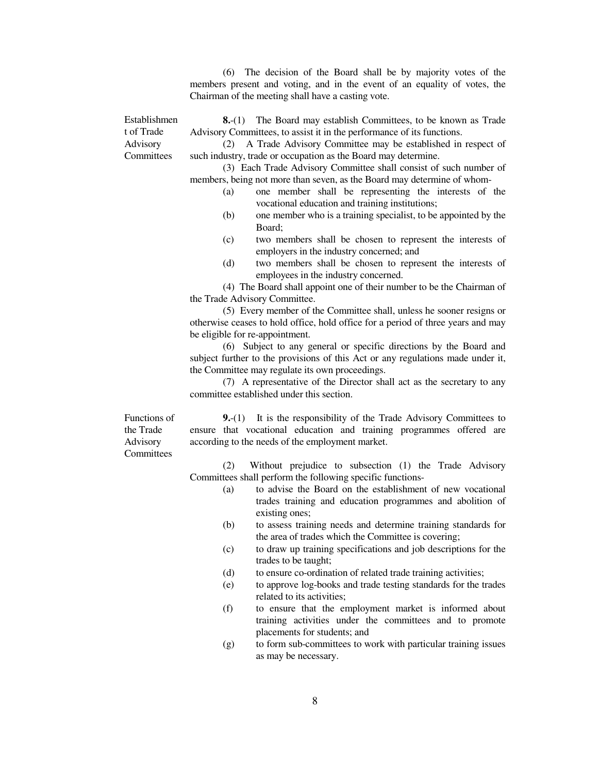(6) The decision of the Board shall be by majority votes of the members present and voting, and in the event of an equality of votes, the Chairman of the meeting shall have a casting vote.

Establishmen t of Trade Advisory **Committees** 

**8.**-(1) The Board may establish Committees, to be known as Trade Advisory Committees, to assist it in the performance of its functions.

 (2) A Trade Advisory Committee may be established in respect of such industry, trade or occupation as the Board may determine.

 (3) Each Trade Advisory Committee shall consist of such number of members, being not more than seven, as the Board may determine of whom-

- (a) one member shall be representing the interests of the vocational education and training institutions;
- (b) one member who is a training specialist, to be appointed by the Board;
- (c) two members shall be chosen to represent the interests of employers in the industry concerned; and
- (d) two members shall be chosen to represent the interests of employees in the industry concerned.

 (4) The Board shall appoint one of their number to be the Chairman of the Trade Advisory Committee.

 (5) Every member of the Committee shall, unless he sooner resigns or otherwise ceases to hold office, hold office for a period of three years and may be eligible for re-appointment.

 (6) Subject to any general or specific directions by the Board and subject further to the provisions of this Act or any regulations made under it, the Committee may regulate its own proceedings.

 (7) A representative of the Director shall act as the secretary to any committee established under this section.

Functions of the Trade Advisory **Committees** 

**9.**-(1) It is the responsibility of the Trade Advisory Committees to ensure that vocational education and training programmes offered are according to the needs of the employment market.

 (2) Without prejudice to subsection (1) the Trade Advisory Committees shall perform the following specific functions-

- (a) to advise the Board on the establishment of new vocational trades training and education programmes and abolition of existing ones;
- (b) to assess training needs and determine training standards for the area of trades which the Committee is covering;
- (c) to draw up training specifications and job descriptions for the trades to be taught;
- (d) to ensure co-ordination of related trade training activities;
- (e) to approve log-books and trade testing standards for the trades related to its activities;
- (f) to ensure that the employment market is informed about training activities under the committees and to promote placements for students; and
- (g) to form sub-committees to work with particular training issues as may be necessary.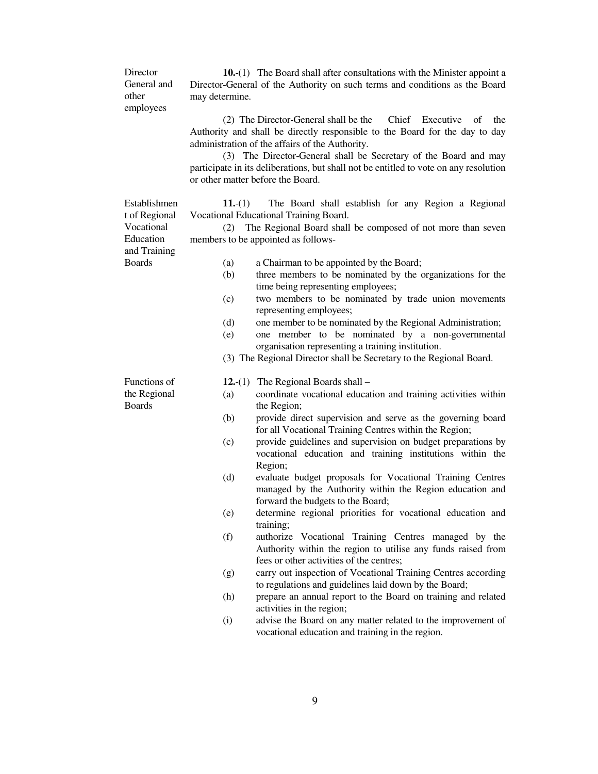**Director** General and other employees **10.**-(1) The Board shall after consultations with the Minister appoint a Director-General of the Authority on such terms and conditions as the Board may determine. (2) The Director-General shall be the Chief Executive of the Authority and shall be directly responsible to the Board for the day to day administration of the affairs of the Authority. (3) The Director-General shall be Secretary of the Board and may participate in its deliberations, but shall not be entitled to vote on any resolution or other matter before the Board. Establishmen t of Regional Vocational Education and Training **11.**-(1) The Board shall establish for any Region a Regional Vocational Educational Training Board. (2) The Regional Board shall be composed of not more than seven members to be appointed as follows-Boards (a) a Chairman to be appointed by the Board; (b) three members to be nominated by the organizations for the time being representing employees; (c) two members to be nominated by trade union movements representing employees; (d) one member to be nominated by the Regional Administration; (e) one member to be nominated by a non-governmental organisation representing a training institution. (3) The Regional Director shall be Secretary to the Regional Board. Functions of the Regional Boards **12.**-(1) The Regional Boards shall – (a) coordinate vocational education and training activities within the Region; (b) provide direct supervision and serve as the governing board for all Vocational Training Centres within the Region; (c) provide guidelines and supervision on budget preparations by vocational education and training institutions within the Region; (d) evaluate budget proposals for Vocational Training Centres managed by the Authority within the Region education and forward the budgets to the Board; (e) determine regional priorities for vocational education and training; (f) authorize Vocational Training Centres managed by the Authority within the region to utilise any funds raised from fees or other activities of the centres; (g) carry out inspection of Vocational Training Centres according to regulations and guidelines laid down by the Board; (h) prepare an annual report to the Board on training and related activities in the region; (i) advise the Board on any matter related to the improvement of vocational education and training in the region.

9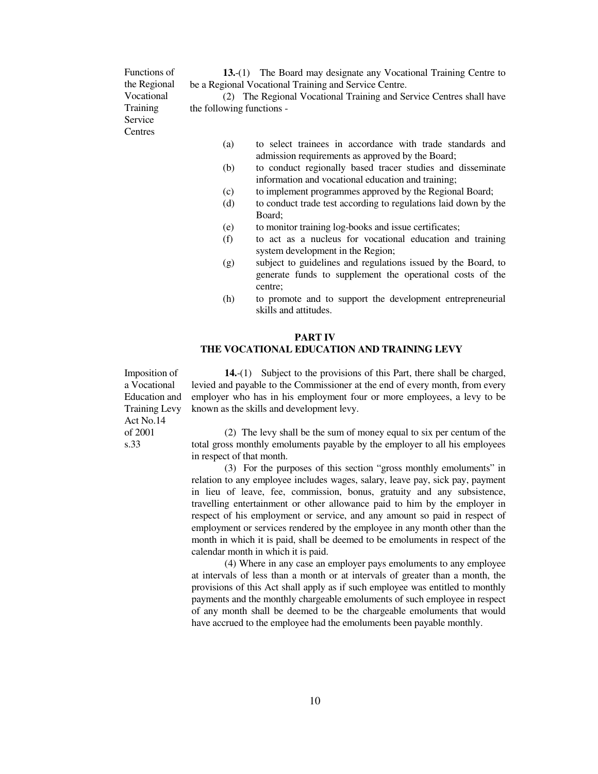Functions of the Regional Vocational Training Service **Centres** 

**13.**-(1) The Board may designate any Vocational Training Centre to be a Regional Vocational Training and Service Centre.

 (2) The Regional Vocational Training and Service Centres shall have the following functions -

- (a) to select trainees in accordance with trade standards and admission requirements as approved by the Board;
- (b) to conduct regionally based tracer studies and disseminate information and vocational education and training;
- (c) to implement programmes approved by the Regional Board;
- (d) to conduct trade test according to regulations laid down by the Board;
- (e) to monitor training log-books and issue certificates;
- (f) to act as a nucleus for vocational education and training system development in the Region;
- (g) subject to guidelines and regulations issued by the Board, to generate funds to supplement the operational costs of the centre;
- (h) to promote and to support the development entrepreneurial skills and attitudes.

## **PART IV THE VOCATIONAL EDUCATION AND TRAINING LEVY**

Imposition of a Vocational Education and Training Levy Act No.14 of 2001 s.33

**14.**-(1) Subject to the provisions of this Part, there shall be charged, levied and payable to the Commissioner at the end of every month, from every employer who has in his employment four or more employees, a levy to be known as the skills and development levy.

 (2) The levy shall be the sum of money equal to six per centum of the total gross monthly emoluments payable by the employer to all his employees in respect of that month.

 (3) For the purposes of this section "gross monthly emoluments" in relation to any employee includes wages, salary, leave pay, sick pay, payment in lieu of leave, fee, commission, bonus, gratuity and any subsistence, travelling entertainment or other allowance paid to him by the employer in respect of his employment or service, and any amount so paid in respect of employment or services rendered by the employee in any month other than the month in which it is paid, shall be deemed to be emoluments in respect of the calendar month in which it is paid.

 (4) Where in any case an employer pays emoluments to any employee at intervals of less than a month or at intervals of greater than a month, the provisions of this Act shall apply as if such employee was entitled to monthly payments and the monthly chargeable emoluments of such employee in respect of any month shall be deemed to be the chargeable emoluments that would have accrued to the employee had the emoluments been payable monthly.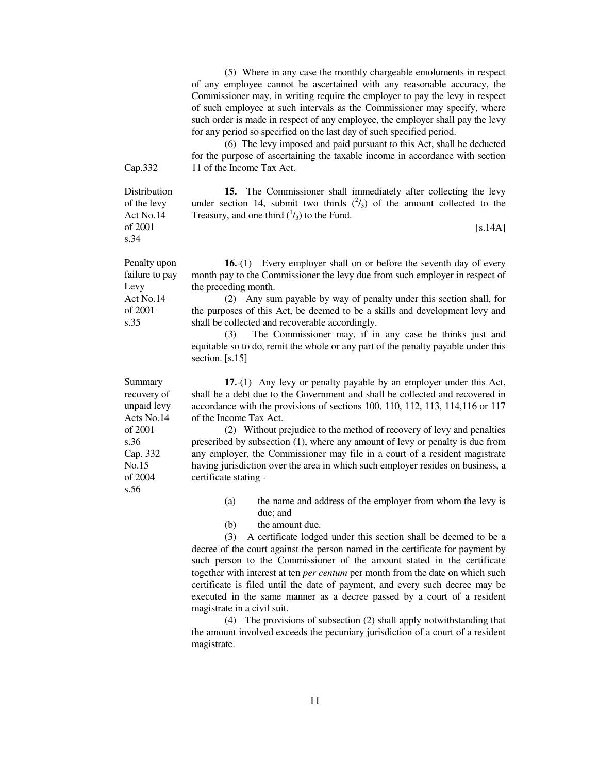(5) Where in any case the monthly chargeable emoluments in respect of any employee cannot be ascertained with any reasonable accuracy, the Commissioner may, in writing require the employer to pay the levy in respect of such employee at such intervals as the Commissioner may specify, where such order is made in respect of any employee, the employer shall pay the levy for any period so specified on the last day of such specified period.

 (6) The levy imposed and paid pursuant to this Act, shall be deducted for the purpose of ascertaining the taxable income in accordance with section 11 of the Income Tax Act.

Cap.332

Distribution of the levy Act No.14 of 2001 s.34

Penalty upon failure to pay

Levy Act No.14 of 2001 s.35

**15.** The Commissioner shall immediately after collecting the levy under section 14, submit two thirds  $(^{2}/_{3})$  of the amount collected to the Treasury, and one third  $({}^{1}/_{3})$  to the Fund.

 $[s.14A]$ 

**16.**-(1) Every employer shall on or before the seventh day of every month pay to the Commissioner the levy due from such employer in respect of the preceding month.

 (2) Any sum payable by way of penalty under this section shall, for the purposes of this Act, be deemed to be a skills and development levy and shall be collected and recoverable accordingly.

 (3) The Commissioner may, if in any case he thinks just and equitable so to do, remit the whole or any part of the penalty payable under this section. [s.15]

**17.**-(1) Any levy or penalty payable by an employer under this Act, shall be a debt due to the Government and shall be collected and recovered in accordance with the provisions of sections 100, 110, 112, 113, 114,116 or 117 of the Income Tax Act.

 (2) Without prejudice to the method of recovery of levy and penalties prescribed by subsection (1), where any amount of levy or penalty is due from any employer, the Commissioner may file in a court of a resident magistrate having jurisdiction over the area in which such employer resides on business, a certificate stating -

- (a) the name and address of the employer from whom the levy is due; and
- (b) the amount due.

 (3) A certificate lodged under this section shall be deemed to be a decree of the court against the person named in the certificate for payment by such person to the Commissioner of the amount stated in the certificate together with interest at ten *per centum* per month from the date on which such certificate is filed until the date of payment, and every such decree may be executed in the same manner as a decree passed by a court of a resident magistrate in a civil suit.

 (4) The provisions of subsection (2) shall apply notwithstanding that the amount involved exceeds the pecuniary jurisdiction of a court of a resident magistrate.

Summary recovery of unpaid levy Acts No.14 of 2001 s.36 Cap. 332 No.15 of 2004 s.56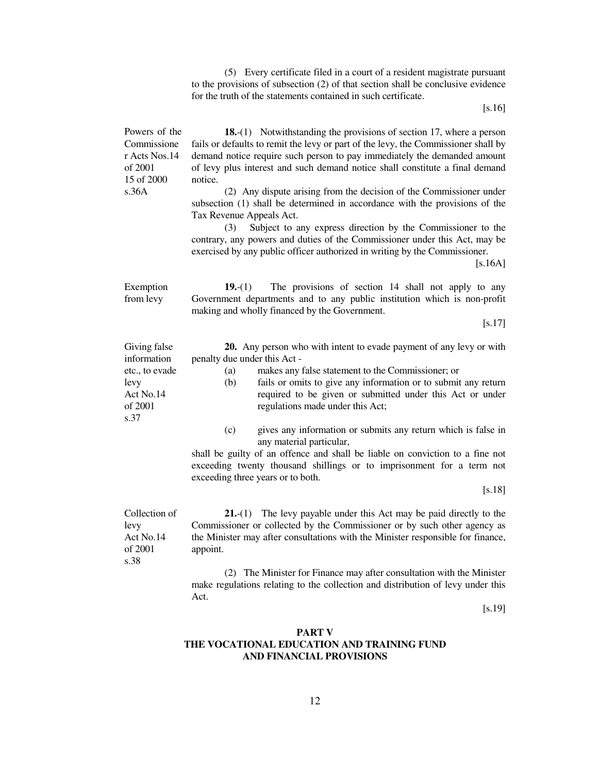(5) Every certificate filed in a court of a resident magistrate pursuant to the provisions of subsection (2) of that section shall be conclusive evidence for the truth of the statements contained in such certificate.

[s.16]

| Powers of the<br>Commissione<br>r Acts Nos.14<br>of 2001<br>15 of 2000<br>s.36A       | 18.-(1) Notwithstanding the provisions of section 17, where a person<br>fails or defaults to remit the levy or part of the levy, the Commissioner shall by<br>demand notice require such person to pay immediately the demanded amount<br>of levy plus interest and such demand notice shall constitute a final demand<br>notice.<br>(2) Any dispute arising from the decision of the Commissioner under<br>subsection (1) shall be determined in accordance with the provisions of the<br>Tax Revenue Appeals Act.<br>(3)<br>Subject to any express direction by the Commissioner to the<br>contrary, any powers and duties of the Commissioner under this Act, may be<br>exercised by any public officer authorized in writing by the Commissioner.<br>$[s.16A]$ |
|---------------------------------------------------------------------------------------|--------------------------------------------------------------------------------------------------------------------------------------------------------------------------------------------------------------------------------------------------------------------------------------------------------------------------------------------------------------------------------------------------------------------------------------------------------------------------------------------------------------------------------------------------------------------------------------------------------------------------------------------------------------------------------------------------------------------------------------------------------------------|
| Exemption<br>from levy                                                                | The provisions of section 14 shall not apply to any<br>$19-(1)$<br>Government departments and to any public institution which is non-profit<br>making and wholly financed by the Government.<br>$[s.17]$                                                                                                                                                                                                                                                                                                                                                                                                                                                                                                                                                           |
| Giving false<br>information<br>etc., to evade<br>levy<br>Act No.14<br>of 2001<br>s.37 | 20. Any person who with intent to evade payment of any levy or with<br>penalty due under this Act -<br>(a)<br>makes any false statement to the Commissioner; or<br>fails or omits to give any information or to submit any return<br>(b)<br>required to be given or submitted under this Act or under<br>regulations made under this Act;<br>(c)<br>gives any information or submits any return which is false in<br>any material particular,<br>shall be guilty of an offence and shall be liable on conviction to a fine not<br>exceeding twenty thousand shillings or to imprisonment for a term not<br>exceeding three years or to both.<br>$[$ .18]                                                                                                           |
| Collection of<br>levy<br>Act No.14<br>of 2001<br>s.38                                 | The levy payable under this Act may be paid directly to the<br><b>21.-(1)</b><br>Commissioner or collected by the Commissioner or by such other agency as<br>the Minister may after consultations with the Minister responsible for finance,<br>appoint.<br>(2) The Minister for Finance may after consultation with the Minister<br>make regulations relating to the collection and distribution of levy under this<br>Act.                                                                                                                                                                                                                                                                                                                                       |
|                                                                                       | $[8.19]$                                                                                                                                                                                                                                                                                                                                                                                                                                                                                                                                                                                                                                                                                                                                                           |

## **PART V THE VOCATIONAL EDUCATION AND TRAINING FUND AND FINANCIAL PROVISIONS**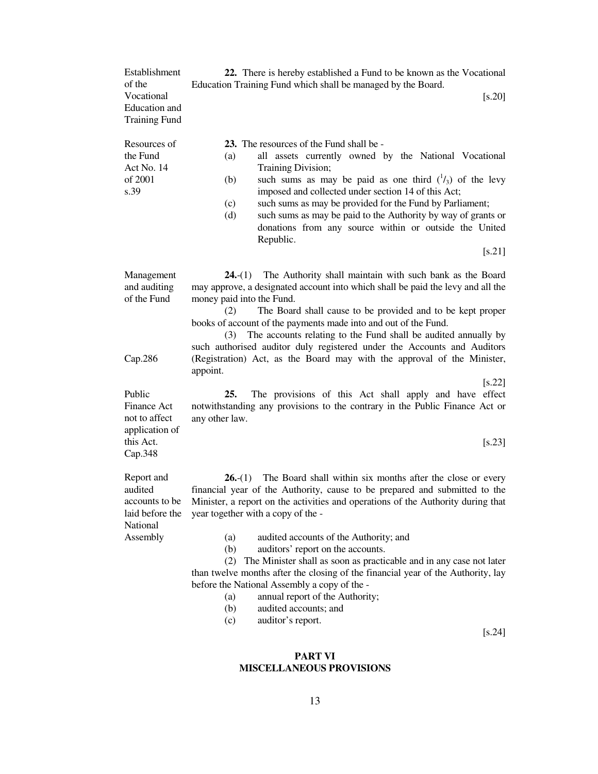| Establishment<br>of the<br>Vocational<br>Education and<br><b>Training Fund</b> | 22. There is hereby established a Fund to be known as the Vocational<br>Education Training Fund which shall be managed by the Board.<br>[s.20]                                                                                                                                                                                                                                                                                                                                                         |  |  |
|--------------------------------------------------------------------------------|--------------------------------------------------------------------------------------------------------------------------------------------------------------------------------------------------------------------------------------------------------------------------------------------------------------------------------------------------------------------------------------------------------------------------------------------------------------------------------------------------------|--|--|
| Resources of<br>the Fund<br>Act No. 14<br>of 2001<br>s.39                      | <b>23.</b> The resources of the Fund shall be -<br>all assets currently owned by the National Vocational<br>(a)<br>Training Division;<br>such sums as may be paid as one third $(\frac{1}{3})$ of the levy<br>(b)<br>imposed and collected under section 14 of this Act;<br>such sums as may be provided for the Fund by Parliament;<br>(c)<br>such sums as may be paid to the Authority by way of grants or<br>(d)<br>donations from any source within or outside the United<br>Republic.<br>$[$ .21] |  |  |
| Management<br>and auditing<br>of the Fund                                      | The Authority shall maintain with such bank as the Board<br>$24-(1)$<br>may approve, a designated account into which shall be paid the levy and all the<br>money paid into the Fund.<br>The Board shall cause to be provided and to be kept proper<br>(2)<br>books of account of the payments made into and out of the Fund.<br>The accounts relating to the Fund shall be audited annually by<br>(3)<br>such authorised auditor duly registered under the Accounts and Auditors                       |  |  |
| Cap.286                                                                        | (Registration) Act, as the Board may with the approval of the Minister,<br>appoint.                                                                                                                                                                                                                                                                                                                                                                                                                    |  |  |
| Public<br>Finance Act<br>not to affect<br>application of                       | $\left[ $ .22 \right]<br>The provisions of this Act shall apply and have effect<br>25.<br>notwithstanding any provisions to the contrary in the Public Finance Act or<br>any other law.                                                                                                                                                                                                                                                                                                                |  |  |
| this Act.<br>Cap.348                                                           | $[$ .23]                                                                                                                                                                                                                                                                                                                                                                                                                                                                                               |  |  |
| Report and<br>audited<br>accounts to be<br>laid before the<br>National         | The Board shall within six months after the close or every<br>$26-(1)$<br>financial year of the Authority, cause to be prepared and submitted to the<br>Minister, a report on the activities and operations of the Authority during that<br>year together with a copy of the -                                                                                                                                                                                                                         |  |  |
| Assembly                                                                       | audited accounts of the Authority; and<br>(a)<br>auditors' report on the accounts.<br>(b)<br>The Minister shall as soon as practicable and in any case not later<br>(2)<br>than twelve months after the closing of the financial year of the Authority, lay<br>before the National Assembly a copy of the -<br>annual report of the Authority;<br>(a)<br>audited accounts; and<br>(b)<br>auditor's report.<br>(c)<br>$[$ .24]                                                                          |  |  |
|                                                                                |                                                                                                                                                                                                                                                                                                                                                                                                                                                                                                        |  |  |

# **PART VI MISCELLANEOUS PROVISIONS**